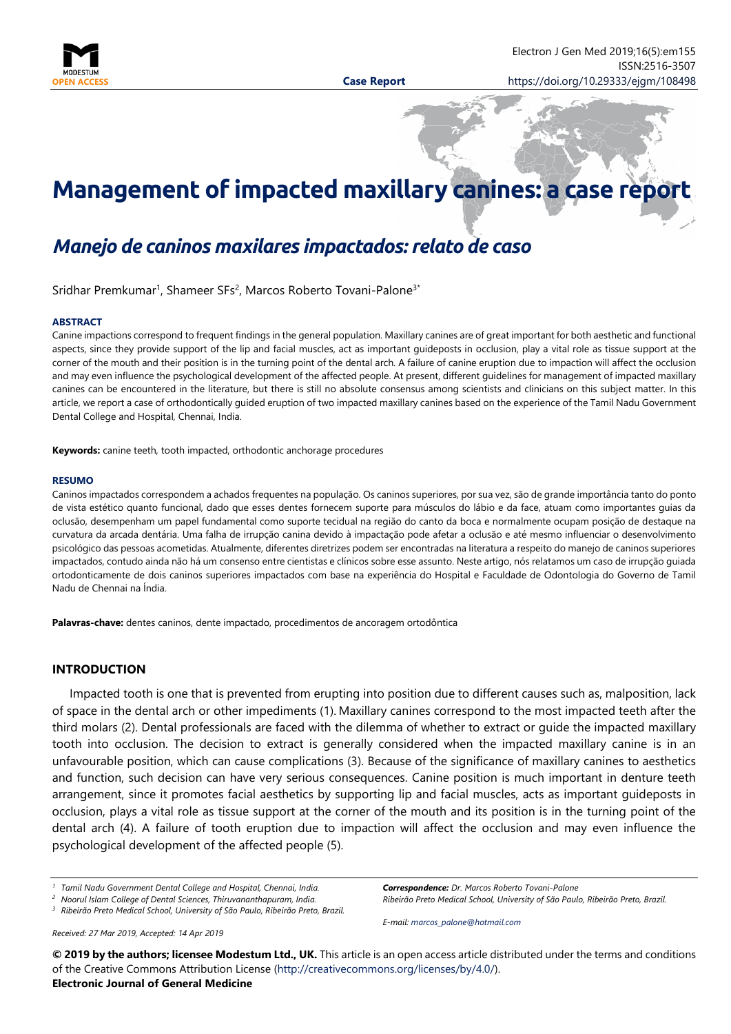

# **Management of impacted maxillary canines: a case report**

# *Manejo de caninos maxilares impactados: relato de caso*

Sridhar Premkumar<sup>1</sup>, Shameer SFs<sup>2</sup>, Marcos Roberto Tovani-Palone<sup>3\*</sup>

#### **ABSTRACT**

Canine impactions correspond to frequent findings in the general population. Maxillary canines are of great important for both aesthetic and functional aspects, since they provide support of the lip and facial muscles, act as important guideposts in occlusion, play a vital role as tissue support at the corner of the mouth and their position is in the turning point of the dental arch. A failure of canine eruption due to impaction will affect the occlusion and may even influence the psychological development of the affected people. At present, different guidelines for management of impacted maxillary canines can be encountered in the literature, but there is still no absolute consensus among scientists and clinicians on this subject matter. In this article, we report a case of orthodontically guided eruption of two impacted maxillary canines based on the experience of the Tamil Nadu Government Dental College and Hospital, Chennai, India.

**Keywords:** canine teeth, tooth impacted, orthodontic anchorage procedures

#### **RESUMO**

Caninos impactados correspondem a achados frequentes na população. Os caninos superiores, por sua vez, são de grande importância tanto do ponto de vista estético quanto funcional, dado que esses dentes fornecem suporte para músculos do lábio e da face, atuam como importantes guias da oclusão, desempenham um papel fundamental como suporte tecidual na região do canto da boca e normalmente ocupam posição de destaque na curvatura da arcada dentária. Uma falha de irrupção canina devido à impactação pode afetar a oclusão e até mesmo influenciar o desenvolvimento psicológico das pessoas acometidas. Atualmente, diferentes diretrizes podem ser encontradas na literatura a respeito do manejo de caninos superiores impactados, contudo ainda não há um consenso entre cientistas e clínicos sobre esse assunto. Neste artigo, nós relatamos um caso de irrupção guiada ortodonticamente de dois caninos superiores impactados com base na experiência do Hospital e Faculdade de Odontologia do Governo de Tamil Nadu de Chennai na Índia.

**Palavras-chave:** dentes caninos, dente impactado, procedimentos de ancoragem ortodôntica

# **INTRODUCTION**

Impacted tooth is one that is prevented from erupting into position due to different causes such as, malposition, lack of space in the dental arch or other impediments (1). Maxillary canines correspond to the most impacted teeth after the third molars (2). Dental professionals are faced with the dilemma of whether to extract or guide the impacted maxillary tooth into occlusion. The decision to extract is generally considered when the impacted maxillary canine is in an unfavourable position, which can cause complications (3). Because of the significance of maxillary canines to aesthetics and function, such decision can have very serious consequences. Canine position is much important in denture teeth arrangement, since it promotes facial aesthetics by supporting lip and facial muscles, acts as important guideposts in occlusion, plays a vital role as tissue support at the corner of the mouth and its position is in the turning point of the dental arch (4). A failure of tooth eruption due to impaction will affect the occlusion and may even influence the psychological development of the affected people (5).

*Received: 27 Mar 2019, Accepted: 14 Apr 2019*

*Correspondence: Dr. Marcos Roberto Tovani-Palone Ribeirão Preto Medical School, University of São Paulo, Ribeirão Preto, Brazil.*

*E-mail: [marcos\\_palone@hotmail.com](mailto:marcos_palone@hotmail.com)*

**© 2019 by the authors; licensee Modestum Ltd., UK.** This article is an open access article distributed under the terms and conditions of the Creative Commons Attribution License [\(http://creativecommons.org/licenses/by/4.0/\)](http://creativecommons.org/licenses/by/4.0/). **Electronic Journal of General Medicine**

*<sup>1</sup> Tamil Nadu Government Dental College and Hospital, Chennai, India.*

*<sup>2</sup> Noorul Islam College of Dental Sciences, Thiruvananthapuram, India.*

*<sup>3</sup> Ribeirão Preto Medical School, University of São Paulo, Ribeirão Preto, Brazil.*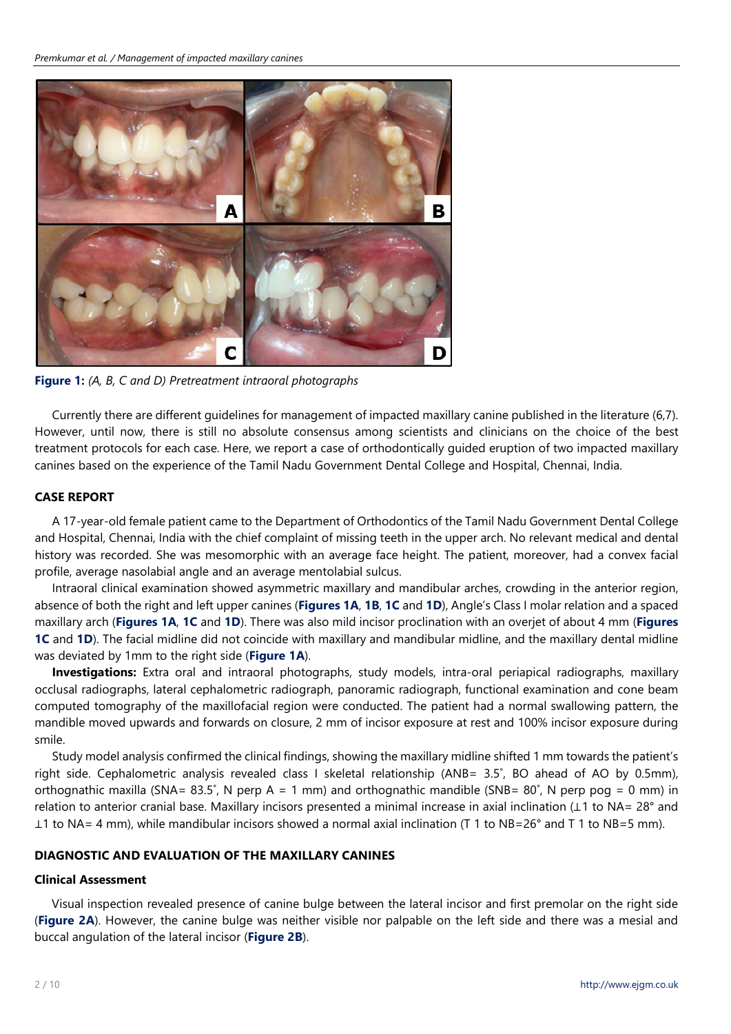

**Figure 1:** *(A, B, C and D) Pretreatment intraoral photographs*

Currently there are different guidelines for management of impacted maxillary canine published in the literature (6,7). However, until now, there is still no absolute consensus among scientists and clinicians on the choice of the best treatment protocols for each case. Here, we report a case of orthodontically guided eruption of two impacted maxillary canines based on the experience of the Tamil Nadu Government Dental College and Hospital, Chennai, India.

# **CASE REPORT**

A 17-year-old female patient came to the Department of Orthodontics of the Tamil Nadu Government Dental College and Hospital, Chennai, India with the chief complaint of missing teeth in the upper arch. No relevant medical and dental history was recorded. She was mesomorphic with an average face height. The patient, moreover, had a convex facial profile, average nasolabial angle and an average mentolabial sulcus.

Intraoral clinical examination showed asymmetric maxillary and mandibular arches, crowding in the anterior region, absence of both the right and left upper canines (**Figures 1A**, **1B**, **1C** and **1D**), Angle's Class I molar relation and a spaced maxillary arch (**Figures 1A**, **1C** and **1D**). There was also mild incisor proclination with an overjet of about 4 mm (**Figures 1C** and **1D**). The facial midline did not coincide with maxillary and mandibular midline, and the maxillary dental midline was deviated by 1mm to the right side (**Figure 1A**).

**Investigations:** Extra oral and intraoral photographs, study models, intra-oral periapical radiographs, maxillary occlusal radiographs, lateral cephalometric radiograph, panoramic radiograph, functional examination and cone beam computed tomography of the maxillofacial region were conducted. The patient had a normal swallowing pattern, the mandible moved upwards and forwards on closure, 2 mm of incisor exposure at rest and 100% incisor exposure during smile.

Study model analysis confirmed the clinical findings, showing the maxillary midline shifted 1 mm towards the patient's right side. Cephalometric analysis revealed class I skeletal relationship (ANB= 3.5˚, BO ahead of AO by 0.5mm), orthognathic maxilla (SNA=  $83.5^\circ$ , N perp A = 1 mm) and orthognathic mandible (SNB=  $80^\circ$ , N perp pog = 0 mm) in relation to anterior cranial base. Maxillary incisors presented a minimal increase in axial inclination (⊥1 to NA= 28° and ⊥1 to NA= 4 mm), while mandibular incisors showed a normal axial inclination (T 1 to NB=26° and T 1 to NB=5 mm).

# **DIAGNOSTIC AND EVALUATION OF THE MAXILLARY CANINES**

### **Clinical Assessment**

Visual inspection revealed presence of canine bulge between the lateral incisor and first premolar on the right side (**Figure 2A**). However, the canine bulge was neither visible nor palpable on the left side and there was a mesial and buccal angulation of the lateral incisor (**Figure 2B**).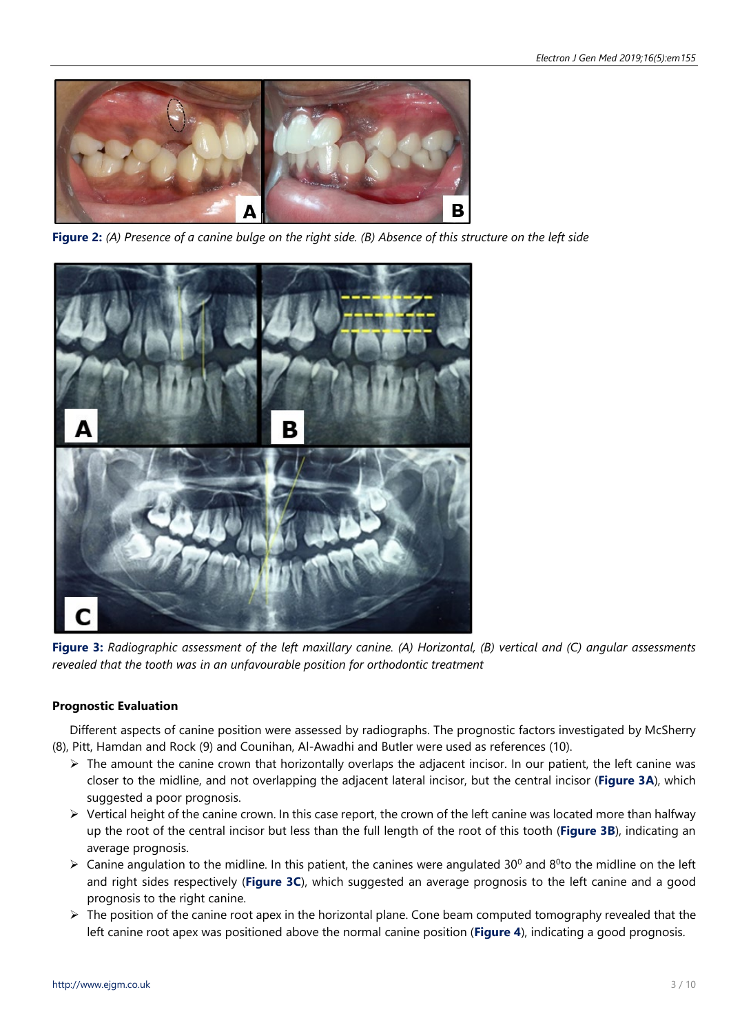

Figure 2: (A) Presence of a canine bulge on the right side. (B) Absence of this structure on the left side



**Figure 3:** Radiographic assessment of the left maxillary canine. (A) Horizontal, (B) vertical and (C) angular assessments *revealed that the tooth was in an unfavourable position for orthodontic treatment*

# **Prognostic Evaluation**

Different aspects of canine position were assessed by radiographs. The prognostic factors investigated by McSherry (8), Pitt, Hamdan and Rock (9) and Counihan, Al-Awadhi and Butler were used as references (10).

- $\triangleright$  The amount the canine crown that horizontally overlaps the adjacent incisor. In our patient, the left canine was closer to the midline, and not overlapping the adjacent lateral incisor, but the central incisor (**Figure 3A**), which suggested a poor prognosis.
- $\triangleright$  Vertical height of the canine crown. In this case report, the crown of the left canine was located more than halfway up the root of the central incisor but less than the full length of the root of this tooth (**Figure 3B**), indicating an average prognosis.
- $\triangleright$  Canine angulation to the midline. In this patient, the canines were angulated 30<sup>0</sup> and 8<sup>0</sup>to the midline on the left and right sides respectively (**Figure 3C**), which suggested an average prognosis to the left canine and a good prognosis to the right canine.
- $\triangleright$  The position of the canine root apex in the horizontal plane. Cone beam computed tomography revealed that the left canine root apex was positioned above the normal canine position (**Figure 4**), indicating a good prognosis.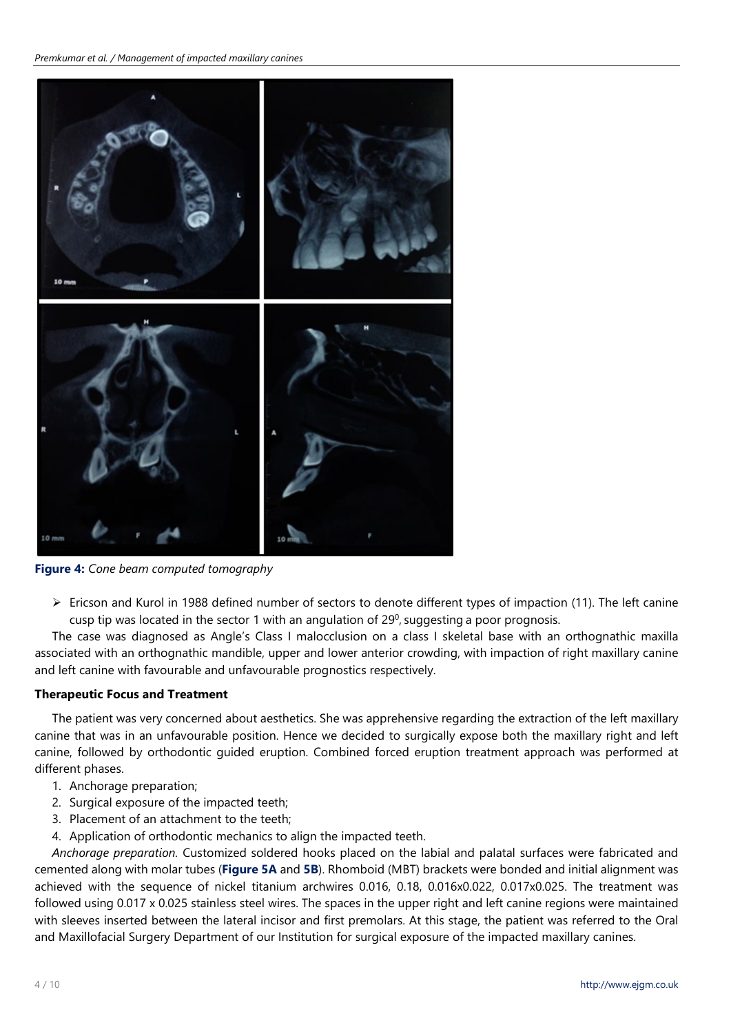*Premkumar et al. / Management of impacted maxillary canines*



**Figure 4:** *Cone beam computed tomography*

 $\triangleright$  Ericson and Kurol in 1988 defined number of sectors to denote different types of impaction (11). The left canine cusp tip was located in the sector 1 with an angulation of  $29^0$ , suggesting a poor prognosis.

The case was diagnosed as Angle's Class I malocclusion on a class I skeletal base with an orthognathic maxilla associated with an orthognathic mandible, upper and lower anterior crowding, with impaction of right maxillary canine and left canine with favourable and unfavourable prognostics respectively.

# **Therapeutic Focus and Treatment**

The patient was very concerned about aesthetics. She was apprehensive regarding the extraction of the left maxillary canine that was in an unfavourable position. Hence we decided to surgically expose both the maxillary right and left canine, followed by orthodontic guided eruption. Combined forced eruption treatment approach was performed at different phases.

- 1. Anchorage preparation;
- 2. Surgical exposure of the impacted teeth:
- 3. Placement of an attachment to the teeth;
- 4. Application of orthodontic mechanics to align the impacted teeth.

*Anchorage preparation.* Customized soldered hooks placed on the labial and palatal surfaces were fabricated and cemented along with molar tubes (**Figure 5A** and **5B**). Rhomboid (MBT) brackets were bonded and initial alignment was achieved with the sequence of nickel titanium archwires 0.016, 0.18, 0.016x0.022, 0.017x0.025. The treatment was followed using 0.017 x 0.025 stainless steel wires. The spaces in the upper right and left canine regions were maintained with sleeves inserted between the lateral incisor and first premolars. At this stage, the patient was referred to the Oral and Maxillofacial Surgery Department of our Institution for surgical exposure of the impacted maxillary canines.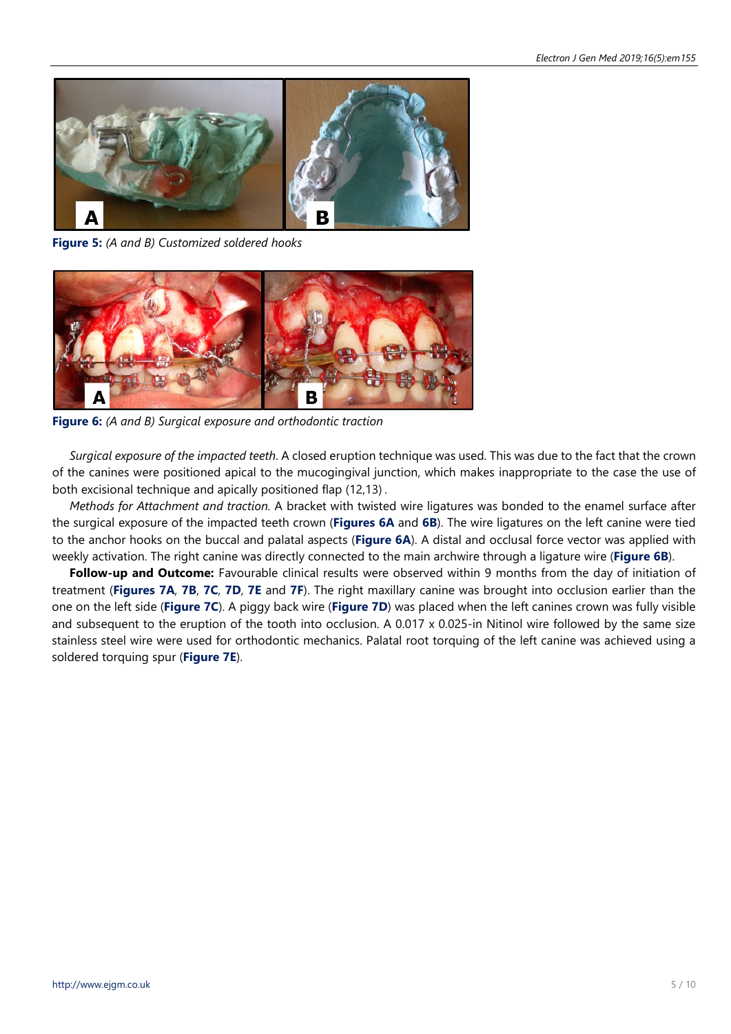

**Figure 5:** *(A and B) Customized soldered hooks*



**Figure 6:** *(A and B) Surgical exposure and orthodontic traction*

*Surgical exposure of the impacted teeth*. A closed eruption technique was used. This was due to the fact that the crown of the canines were positioned apical to the mucogingival junction, which makes inappropriate to the case the use of both excisional technique and apically positioned flap (12,13) .

*Methods for Attachment and traction.* A bracket with twisted wire ligatures was bonded to the enamel surface after the surgical exposure of the impacted teeth crown (**Figures 6A** and **6B**). The wire ligatures on the left canine were tied to the anchor hooks on the buccal and palatal aspects (**Figure 6A**). A distal and occlusal force vector was applied with weekly activation. The right canine was directly connected to the main archwire through a ligature wire (**Figure 6B**).

**Follow-up and Outcome:** Favourable clinical results were observed within 9 months from the day of initiation of treatment (**Figures 7A**, **7B**, **7C**, **7D**, **7E** and **7F**). The right maxillary canine was brought into occlusion earlier than the one on the left side (**Figure 7C**). A piggy back wire (**Figure 7D**) was placed when the left canines crown was fully visible and subsequent to the eruption of the tooth into occlusion. A 0.017 x 0.025-in Nitinol wire followed by the same size stainless steel wire were used for orthodontic mechanics. Palatal root torquing of the left canine was achieved using a soldered torquing spur (**Figure 7E**).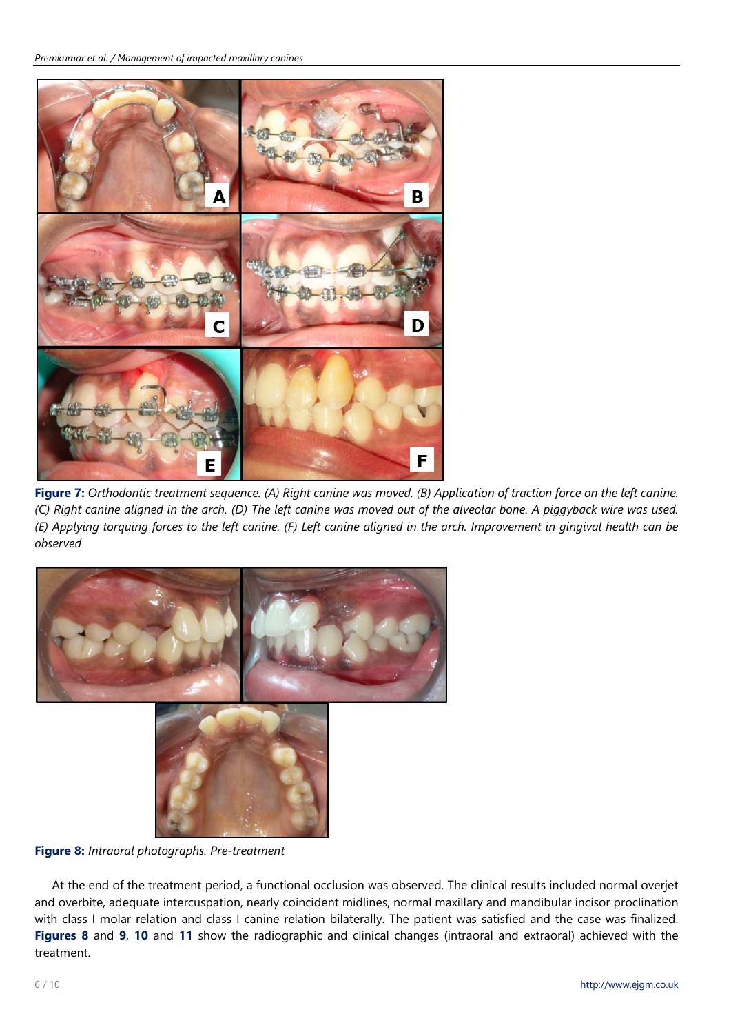

Figure 7: Orthodontic treatment sequence. (A) Right canine was moved. (B) Application of traction force on the left canine. (C) Right canine aligned in the arch. (D) The left canine was moved out of the alveolar bone. A piggyback wire was used. (E) Applying torquing forces to the left canine. (F) Left canine aligned in the arch. Improvement in gingival health can be *observed*



**Figure 8:** *Intraoral photographs. Pre-treatment*

At the end of the treatment period, a functional occlusion was observed. The clinical results included normal overjet and overbite, adequate intercuspation, nearly coincident midlines, normal maxillary and mandibular incisor proclination with class I molar relation and class I canine relation bilaterally. The patient was satisfied and the case was finalized. **Figures 8** and **9**, **10** and **11** show the radiographic and clinical changes (intraoral and extraoral) achieved with the treatment.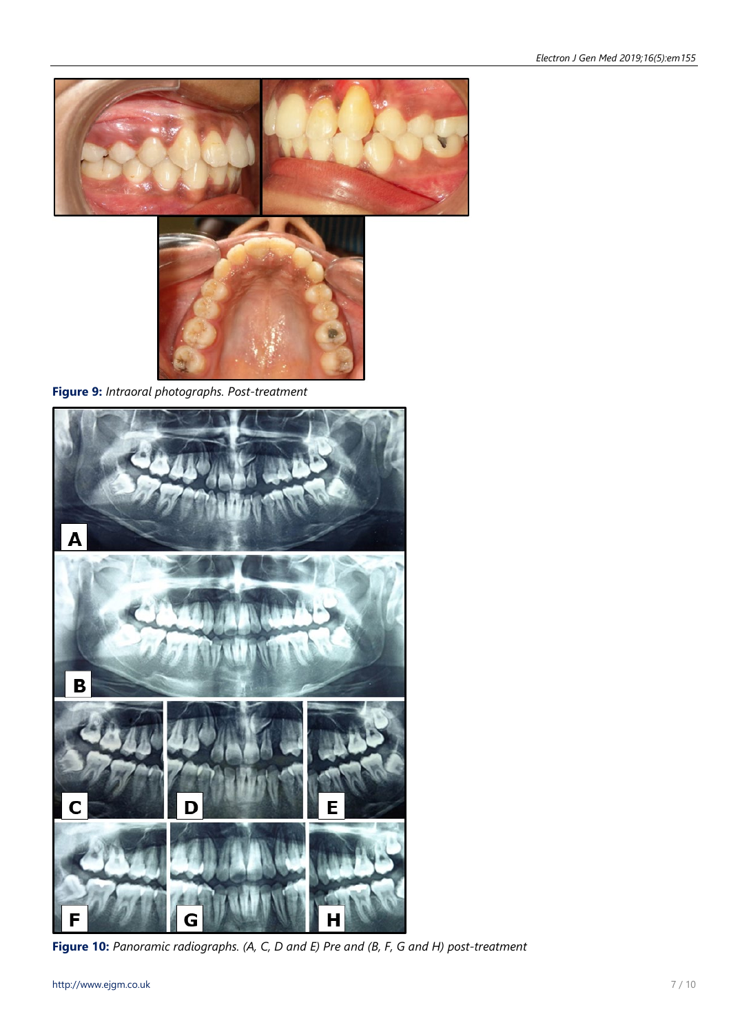



**Figure 9:** *Intraoral photographs. Post-treatment*



**Figure 10:** *Panoramic radiographs. (A, C, D and E) Pre and (B, F, G and H) post-treatment*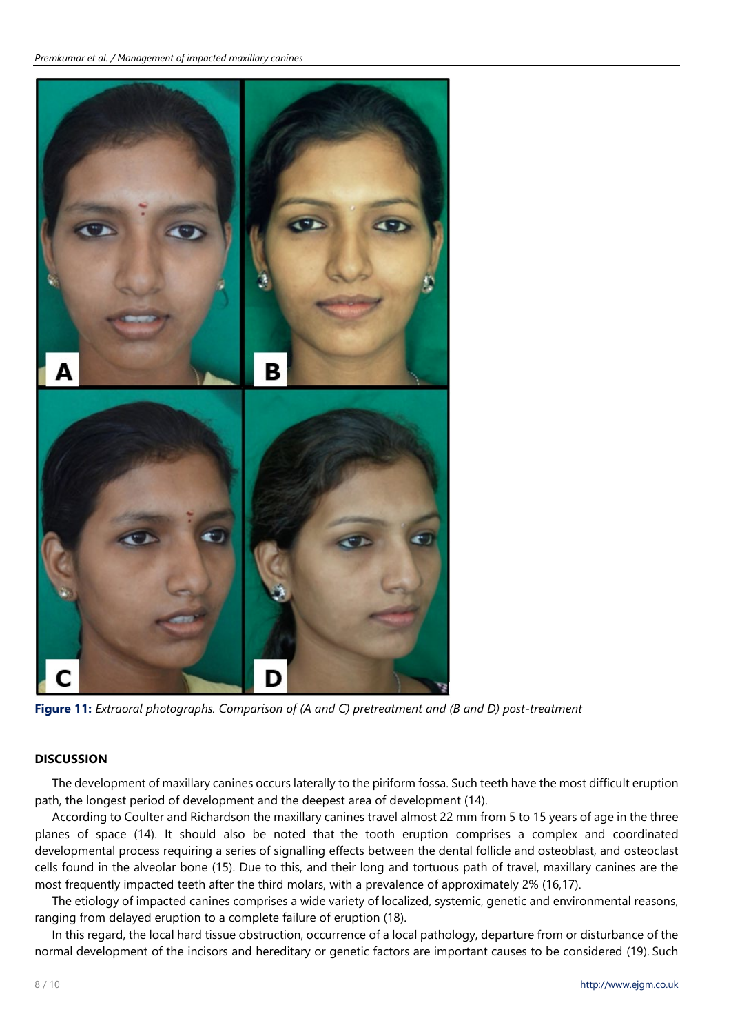

**Figure 11:** *Extraoral photographs. Comparison of (A and C) pretreatment and (B and D) post-treatment*

# **DISCUSSION**

The development of maxillary canines occurs laterally to the piriform fossa. Such teeth have the most difficult eruption path, the longest period of development and the deepest area of development (14).

According to Coulter and Richardson the maxillary canines travel almost 22 mm from 5 to 15 years of age in the three planes of space (14). It should also be noted that the tooth eruption comprises a complex and coordinated developmental process requiring a series of signalling effects between the dental follicle and osteoblast, and osteoclast cells found in the alveolar bone (15). Due to this, and their long and tortuous path of travel, maxillary canines are the most frequently impacted teeth after the third molars, with a prevalence of approximately 2% (16,17).

The etiology of impacted canines comprises a wide variety of localized, systemic, genetic and environmental reasons, ranging from delayed eruption to a complete failure of eruption (18).

In this regard, the local hard tissue obstruction, occurrence of a local pathology, departure from or disturbance of the normal development of the incisors and hereditary or genetic factors are important causes to be considered (19). Such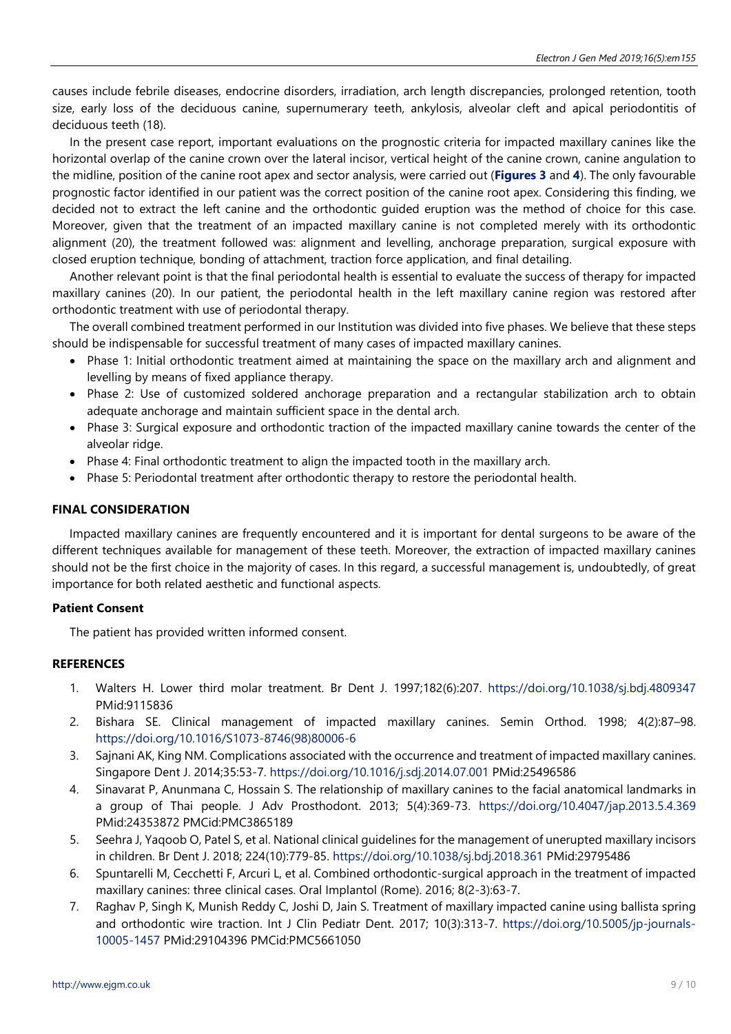causes include febrile diseases, endocrine disorders, irradiation, arch length discrepancies, prolonged retention, tooth size, early loss of the deciduous canine, supernumerary teeth, ankylosis, alveolar cleft and apical periodontitis of deciduous teeth (18).

In the present case report, important evaluations on the prognostic criteria for impacted maxillary canines like the horizontal overlap of the canine crown over the lateral incisor, vertical height of the canine crown, canine angulation to the midline, position of the canine root apex and sector analysis, were carried out (**Figures 3** and **4**). The only favourable prognostic factor identified in our patient was the correct position of the canine root apex. Considering this finding, we decided not to extract the left canine and the orthodontic guided eruption was the method of choice for this case. Moreover, given that the treatment of an impacted maxillary canine is not completed merely with its orthodontic alignment (20), the treatment followed was: alignment and levelling, anchorage preparation, surgical exposure with closed eruption technique, bonding of attachment, traction force application, and final detailing.

Another relevant point is that the final periodontal health is essential to evaluate the success of therapy for impacted maxillary canines (20). In our patient, the periodontal health in the left maxillary canine region was restored after orthodontic treatment with use of periodontal therapy.

The overall combined treatment performed in our Institution was divided into five phases. We believe that these steps should be indispensable for successful treatment of many cases of impacted maxillary canines.

- Phase 1: Initial orthodontic treatment aimed at maintaining the space on the maxillary arch and alignment and levelling by means of fixed appliance therapy.
- Phase 2: Use of customized soldered anchorage preparation and a rectangular stabilization arch to obtain adequate anchorage and maintain sufficient space in the dental arch.
- Phase 3: Surgical exposure and orthodontic traction of the impacted maxillary canine towards the center of the alveolar ridge.
- Phase 4: Final orthodontic treatment to align the impacted tooth in the maxillary arch.
- Phase 5: Periodontal treatment after orthodontic therapy to restore the periodontal health.

# **FINAL CONSIDERATION**

Impacted maxillary canines are frequently encountered and it is important for dental surgeons to be aware of the different techniques available for management of these teeth. Moreover, the extraction of impacted maxillary canines should not be the first choice in the majority of cases. In this regard, a successful management is, undoubtedly, of great importance for both related aesthetic and functional aspects.

# **Patient Consent**

The patient has provided written informed consent.

# **REFERENCES**

- 1. Walters H. Lower third molar treatment. Br Dent J. 1997;182(6):207. <https://doi.org/10.1038/sj.bdj.4809347> PMid:9115836
- 2. Bishara SE. Clinical management of impacted maxillary canines. Semin Orthod. 1998; 4(2):87–98. [https://doi.org/10.1016/S1073-8746\(98\)80006-6](https://doi.org/10.1016/S1073-8746(98)80006-6)
- 3. Sajnani AK, King NM. Complications associated with the occurrence and treatment of impacted maxillary canines. Singapore Dent J. 2014;35:53-7. <https://doi.org/10.1016/j.sdj.2014.07.001> PMid:25496586
- 4. Sinavarat P, Anunmana C, Hossain S. The relationship of maxillary canines to the facial anatomical landmarks in a group of Thai people. J Adv Prosthodont. 2013; 5(4):369-73. <https://doi.org/10.4047/jap.2013.5.4.369> PMid:24353872 PMCid:PMC3865189
- 5. Seehra J, Yaqoob O, Patel S, et al. National clinical guidelines for the management of unerupted maxillary incisors in children. Br Dent J. 2018; 224(10):779-85. <https://doi.org/10.1038/sj.bdj.2018.361> PMid:29795486
- 6. Spuntarelli M, Cecchetti F, Arcuri L, et al. Combined orthodontic-surgical approach in the treatment of impacted maxillary canines: three clinical cases. Oral Implantol (Rome). 2016; 8(2-3):63-7.
- 7. Raghav P, Singh K, Munish Reddy C, Joshi D, Jain S. Treatment of maxillary impacted canine using ballista spring and orthodontic wire traction. Int J Clin Pediatr Dent. 2017; 10(3):313-7. [https://doi.org/10.5005/jp-journals-](https://doi.org/10.5005/jp-journals-10005-1457)[10005-1457](https://doi.org/10.5005/jp-journals-10005-1457) PMid:29104396 PMCid:PMC5661050